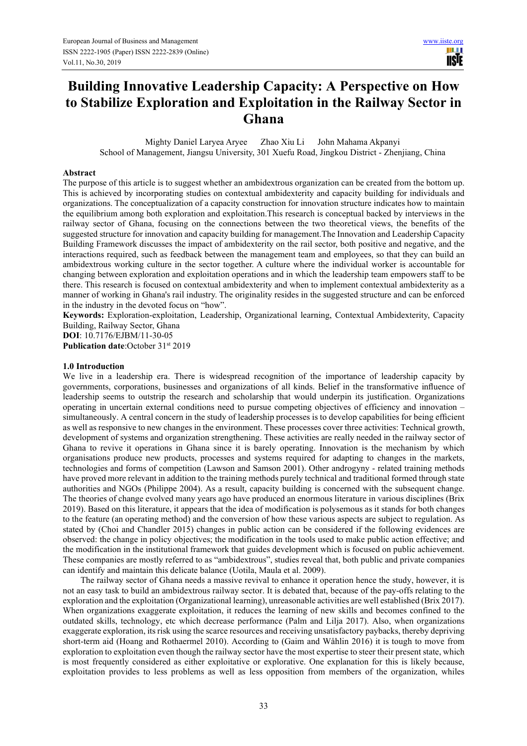III I **USIE** 

# **Building Innovative Leadership Capacity: A Perspective on How to Stabilize Exploration and Exploitation in the Railway Sector in Ghana**

Mighty Daniel Laryea Aryee Zhao Xiu Li John Mahama Akpanyi School of Management, Jiangsu University, 301 Xuefu Road, Jingkou District - Zhenjiang, China

### **Abstract**

The purpose of this article is to suggest whether an ambidextrous organization can be created from the bottom up. This is achieved by incorporating studies on contextual ambidexterity and capacity building for individuals and organizations. The conceptualization of a capacity construction for innovation structure indicates how to maintain the equilibrium among both exploration and exploitation.This research is conceptual backed by interviews in the railway sector of Ghana, focusing on the connections between the two theoretical views, the benefits of the suggested structure for innovation and capacity building for management.The Innovation and Leadership Capacity Building Framework discusses the impact of ambidexterity on the rail sector, both positive and negative, and the interactions required, such as feedback between the management team and employees, so that they can build an ambidextrous working culture in the sector together. A culture where the individual worker is accountable for changing between exploration and exploitation operations and in which the leadership team empowers staff to be there. This research is focused on contextual ambidexterity and when to implement contextual ambidexterity as a manner of working in Ghana's rail industry. The originality resides in the suggested structure and can be enforced in the industry in the devoted focus on "how".

**Keywords:** Exploration-exploitation, Leadership, Organizational learning, Contextual Ambidexterity, Capacity Building, Railway Sector, Ghana

**DOI**: 10.7176/EJBM/11-30-05

**Publication date**:October 31st 2019

#### **1.0 Introduction**

We live in a leadership era. There is widespread recognition of the importance of leadership capacity by governments, corporations, businesses and organizations of all kinds. Belief in the transformative influence of leadership seems to outstrip the research and scholarship that would underpin its justification. Organizations operating in uncertain external conditions need to pursue competing objectives of efficiency and innovation – simultaneously. A central concern in the study of leadership processes is to develop capabilities for being efficient as well as responsive to new changes in the environment. These processes cover three activities: Technical growth, development of systems and organization strengthening. These activities are really needed in the railway sector of Ghana to revive it operations in Ghana since it is barely operating. Innovation is the mechanism by which organisations produce new products, processes and systems required for adapting to changes in the markets, technologies and forms of competition (Lawson and Samson 2001). Other androgyny - related training methods have proved more relevant in addition to the training methods purely technical and traditional formed through state authorities and NGOs (Philippe 2004). As a result, capacity building is concerned with the subsequent change. The theories of change evolved many years ago have produced an enormous literature in various disciplines (Brix 2019). Based on this literature, it appears that the idea of modification is polysemous as it stands for both changes to the feature (an operating method) and the conversion of how these various aspects are subject to regulation. As stated by (Choi and Chandler 2015) changes in public action can be considered if the following evidences are observed: the change in policy objectives; the modification in the tools used to make public action effective; and the modification in the institutional framework that guides development which is focused on public achievement. These companies are mostly referred to as "ambidextrous", studies reveal that, both public and private companies can identify and maintain this delicate balance (Uotila, Maula et al. 2009).

The railway sector of Ghana needs a massive revival to enhance it operation hence the study, however, it is not an easy task to build an ambidextrous railway sector. It is debated that, because of the pay-offs relating to the exploration and the exploitation (Organizational learning), unreasonable activities are well established (Brix 2017). When organizations exaggerate exploitation, it reduces the learning of new skills and becomes confined to the outdated skills, technology, etc which decrease performance (Palm and Lilja 2017). Also, when organizations exaggerate exploration, its risk using the scarce resources and receiving unsatisfactory paybacks, thereby depriving short-term aid (Hoang and Rothaermel 2010). According to (Gaim and Wåhlin 2016) it is tough to move from exploration to exploitation even though the railway sector have the most expertise to steer their present state, which is most frequently considered as either exploitative or explorative. One explanation for this is likely because, exploitation provides to less problems as well as less opposition from members of the organization, whiles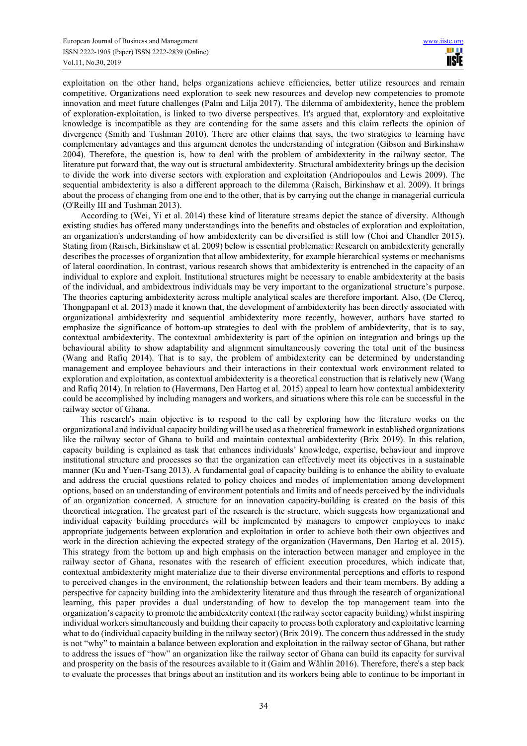exploitation on the other hand, helps organizations achieve efficiencies, better utilize resources and remain competitive. Organizations need exploration to seek new resources and develop new competencies to promote innovation and meet future challenges (Palm and Lilja 2017). The dilemma of ambidexterity, hence the problem of exploration-exploitation, is linked to two diverse perspectives. It's argued that, exploratory and exploitative knowledge is incompatible as they are contending for the same assets and this claim reflects the opinion of divergence (Smith and Tushman 2010). There are other claims that says, the two strategies to learning have complementary advantages and this argument denotes the understanding of integration (Gibson and Birkinshaw 2004). Therefore, the question is, how to deal with the problem of ambidexterity in the railway sector. The literature put forward that, the way out is structural ambidexterity. Structural ambidexterity brings up the decision to divide the work into diverse sectors with exploration and exploitation (Andriopoulos and Lewis 2009). The sequential ambidexterity is also a different approach to the dilemma (Raisch, Birkinshaw et al. 2009). It brings about the process of changing from one end to the other, that is by carrying out the change in managerial curricula (O'Reilly III and Tushman 2013).

According to (Wei, Yi et al. 2014) these kind of literature streams depict the stance of diversity. Although existing studies has offered many understandings into the benefits and obstacles of exploration and exploitation, an organization's understanding of how ambidexterity can be diversified is still low (Choi and Chandler 2015). Stating from (Raisch, Birkinshaw et al. 2009) below is essential problematic: Research on ambidexterity generally describes the processes of organization that allow ambidexterity, for example hierarchical systems or mechanisms of lateral coordination. In contrast, various research shows that ambidexterity is entrenched in the capacity of an individual to explore and exploit. Institutional structures might be necessary to enable ambidexterity at the basis of the individual, and ambidextrous individuals may be very important to the organizational structure's purpose. The theories capturing ambidexterity across multiple analytical scales are therefore important. Also, (De Clercq, Thongpapanl et al. 2013) made it known that, the development of ambidexterity has been directly associated with organizational ambidexterity and sequential ambidexterity more recently, however, authors have started to emphasize the significance of bottom-up strategies to deal with the problem of ambidexterity, that is to say, contextual ambidexterity. The contextual ambidexterity is part of the opinion on integration and brings up the behavioural ability to show adaptability and alignment simultaneously covering the total unit of the business (Wang and Rafiq 2014). That is to say, the problem of ambidexterity can be determined by understanding management and employee behaviours and their interactions in their contextual work environment related to exploration and exploitation, as contextual ambidexterity is a theoretical construction that is relatively new (Wang and Rafiq 2014). In relation to (Havermans, Den Hartog et al. 2015) appeal to learn how contextual ambidexterity could be accomplished by including managers and workers, and situations where this role can be successful in the railway sector of Ghana.

This research's main objective is to respond to the call by exploring how the literature works on the organizational and individual capacity building will be used as a theoretical framework in established organizations like the railway sector of Ghana to build and maintain contextual ambidexterity (Brix 2019). In this relation, capacity building is explained as task that enhances individuals' knowledge, expertise, behaviour and improve institutional structure and processes so that the organization can effectively meet its objectives in a sustainable manner (Ku and Yuen-Tsang 2013). A fundamental goal of capacity building is to enhance the ability to evaluate and address the crucial questions related to policy choices and modes of implementation among development options, based on an understanding of environment potentials and limits and of needs perceived by the individuals of an organization concerned. A structure for an innovation capacity-building is created on the basis of this theoretical integration. The greatest part of the research is the structure, which suggests how organizational and individual capacity building procedures will be implemented by managers to empower employees to make appropriate judgements between exploration and exploitation in order to achieve both their own objectives and work in the direction achieving the expected strategy of the organization (Havermans, Den Hartog et al. 2015). This strategy from the bottom up and high emphasis on the interaction between manager and employee in the railway sector of Ghana, resonates with the research of efficient execution procedures, which indicate that, contextual ambidexterity might materialize due to their diverse environmental perceptions and efforts to respond to perceived changes in the environment, the relationship between leaders and their team members. By adding a perspective for capacity building into the ambidexterity literature and thus through the research of organizational learning, this paper provides a dual understanding of how to develop the top management team into the organization's capacity to promote the ambidexterity context (the railway sector capacity building) whilst inspiring individual workers simultaneously and building their capacity to process both exploratory and exploitative learning what to do (individual capacity building in the railway sector) (Brix 2019). The concern thus addressed in the study is not "why" to maintain a balance between exploration and exploitation in the railway sector of Ghana, but rather to address the issues of "how" an organization like the railway sector of Ghana can build its capacity for survival and prosperity on the basis of the resources available to it (Gaim and Wåhlin 2016). Therefore, there's a step back to evaluate the processes that brings about an institution and its workers being able to continue to be important in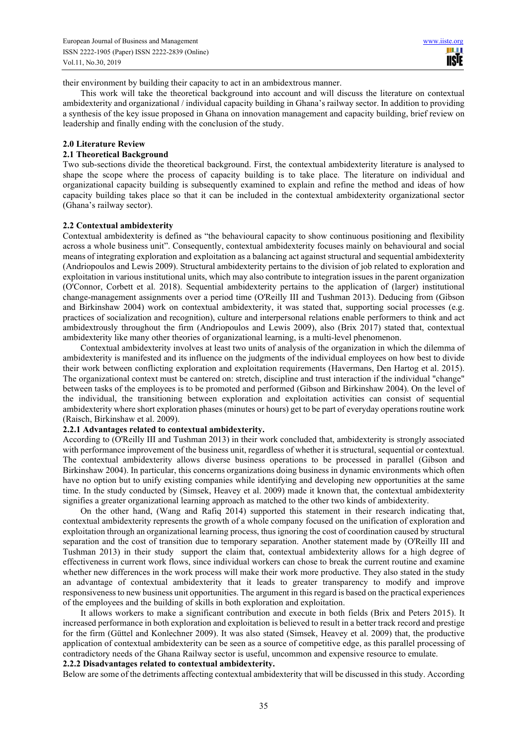their environment by building their capacity to act in an ambidextrous manner.

This work will take the theoretical background into account and will discuss the literature on contextual ambidexterity and organizational / individual capacity building in Ghana's railway sector. In addition to providing a synthesis of the key issue proposed in Ghana on innovation management and capacity building, brief review on leadership and finally ending with the conclusion of the study.

#### **2.0 Literature Review**

### **2.1 Theoretical Background**

Two sub-sections divide the theoretical background. First, the contextual ambidexterity literature is analysed to shape the scope where the process of capacity building is to take place. The literature on individual and organizational capacity building is subsequently examined to explain and refine the method and ideas of how capacity building takes place so that it can be included in the contextual ambidexterity organizational sector (Ghana's railway sector).

#### **2.2 Contextual ambidexterity**

Contextual ambidexterity is defined as "the behavioural capacity to show continuous positioning and flexibility across a whole business unit". Consequently, contextual ambidexterity focuses mainly on behavioural and social means of integrating exploration and exploitation as a balancing act against structural and sequential ambidexterity (Andriopoulos and Lewis 2009). Structural ambidexterity pertains to the division of job related to exploration and exploitation in various institutional units, which may also contribute to integration issues in the parent organization (O'Connor, Corbett et al. 2018). Sequential ambidexterity pertains to the application of (larger) institutional change-management assignments over a period time (O'Reilly III and Tushman 2013). Deducing from (Gibson and Birkinshaw 2004) work on contextual ambidexterity, it was stated that, supporting social processes (e.g. practices of socialization and recognition), culture and interpersonal relations enable performers to think and act ambidextrously throughout the firm (Andriopoulos and Lewis 2009), also (Brix 2017) stated that, contextual ambidexterity like many other theories of organizational learning, is a multi-level phenomenon.

Contextual ambidexterity involves at least two units of analysis of the organization in which the dilemma of ambidexterity is manifested and its influence on the judgments of the individual employees on how best to divide their work between conflicting exploration and exploitation requirements (Havermans, Den Hartog et al. 2015). The organizational context must be cantered on: stretch, discipline and trust interaction if the individual "change" between tasks of the employees is to be promoted and performed (Gibson and Birkinshaw 2004). On the level of the individual, the transitioning between exploration and exploitation activities can consist of sequential ambidexterity where short exploration phases (minutes or hours) get to be part of everyday operations routine work (Raisch, Birkinshaw et al. 2009).

#### **2.2.1 Advantages related to contextual ambidexterity.**

According to (O'Reilly III and Tushman 2013) in their work concluded that, ambidexterity is strongly associated with performance improvement of the business unit, regardless of whether it is structural, sequential or contextual. The contextual ambidexterity allows diverse business operations to be processed in parallel (Gibson and Birkinshaw 2004). In particular, this concerns organizations doing business in dynamic environments which often have no option but to unify existing companies while identifying and developing new opportunities at the same time. In the study conducted by (Simsek, Heavey et al. 2009) made it known that, the contextual ambidexterity signifies a greater organizational learning approach as matched to the other two kinds of ambidexterity.

On the other hand, (Wang and Rafiq 2014) supported this statement in their research indicating that, contextual ambidexterity represents the growth of a whole company focused on the unification of exploration and exploitation through an organizational learning process, thus ignoring the cost of coordination caused by structural separation and the cost of transition due to temporary separation. Another statement made by (O'Reilly III and Tushman 2013) in their study support the claim that, contextual ambidexterity allows for a high degree of effectiveness in current work flows, since individual workers can chose to break the current routine and examine whether new differences in the work process will make their work more productive. They also stated in the study an advantage of contextual ambidexterity that it leads to greater transparency to modify and improve responsiveness to new business unit opportunities. The argument in this regard is based on the practical experiences of the employees and the building of skills in both exploration and exploitation.

It allows workers to make a significant contribution and execute in both fields (Brix and Peters 2015). It increased performance in both exploration and exploitation is believed to result in a better track record and prestige for the firm (Güttel and Konlechner 2009). It was also stated (Simsek, Heavey et al. 2009) that, the productive application of contextual ambidexterity can be seen as a source of competitive edge, as this parallel processing of contradictory needs of the Ghana Railway sector is useful, uncommon and expensive resource to emulate.

# **2.2.2 Disadvantages related to contextual ambidexterity.**

Below are some of the detriments affecting contextual ambidexterity that will be discussed in this study. According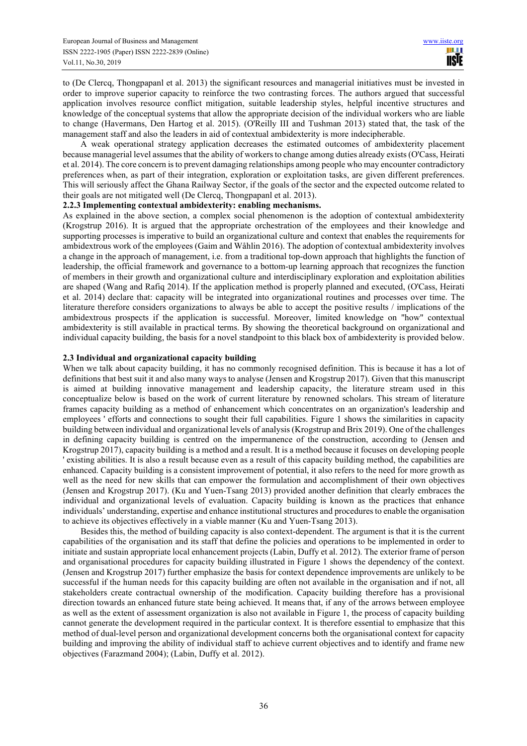to (De Clercq, Thongpapanl et al. 2013) the significant resources and managerial initiatives must be invested in order to improve superior capacity to reinforce the two contrasting forces. The authors argued that successful application involves resource conflict mitigation, suitable leadership styles, helpful incentive structures and knowledge of the conceptual systems that allow the appropriate decision of the individual workers who are liable to change (Havermans, Den Hartog et al. 2015). (O'Reilly III and Tushman 2013) stated that, the task of the management staff and also the leaders in aid of contextual ambidexterity is more indecipherable.

A weak operational strategy application decreases the estimated outcomes of ambidexterity placement because managerial level assumes that the ability of workers to change among duties already exists (O'Cass, Heirati et al. 2014). The core concern is to prevent damaging relationships among people who may encounter contradictory preferences when, as part of their integration, exploration or exploitation tasks, are given different preferences. This will seriously affect the Ghana Railway Sector, if the goals of the sector and the expected outcome related to their goals are not mitigated well (De Clercq, Thongpapanl et al. 2013).

## **2.2.3 Implementing contextual ambidexterity: enabling mechanisms.**

As explained in the above section, a complex social phenomenon is the adoption of contextual ambidexterity (Krogstrup 2016). It is argued that the appropriate orchestration of the employees and their knowledge and supporting processes is imperative to build an organizational culture and context that enables the requirements for ambidextrous work of the employees (Gaim and Wåhlin 2016). The adoption of contextual ambidexterity involves a change in the approach of management, i.e. from a traditional top-down approach that highlights the function of leadership, the official framework and governance to a bottom-up learning approach that recognizes the function of members in their growth and organizational culture and interdisciplinary exploration and exploitation abilities are shaped (Wang and Rafiq 2014). If the application method is properly planned and executed, (O'Cass, Heirati et al. 2014) declare that: capacity will be integrated into organizational routines and processes over time. The literature therefore considers organizations to always be able to accept the positive results / implications of the ambidextrous prospects if the application is successful. Moreover, limited knowledge on "how" contextual ambidexterity is still available in practical terms. By showing the theoretical background on organizational and individual capacity building, the basis for a novel standpoint to this black box of ambidexterity is provided below.

## **2.3 Individual and organizational capacity building**

When we talk about capacity building, it has no commonly recognised definition. This is because it has a lot of definitions that best suit it and also many ways to analyse (Jensen and Krogstrup 2017). Given that this manuscript is aimed at building innovative management and leadership capacity, the literature stream used in this conceptualize below is based on the work of current literature by renowned scholars. This stream of literature frames capacity building as a method of enhancement which concentrates on an organization's leadership and employees ' efforts and connections to sought their full capabilities. Figure 1 shows the similarities in capacity building between individual and organizational levels of analysis (Krogstrup and Brix 2019). One of the challenges in defining capacity building is centred on the impermanence of the construction, according to (Jensen and Krogstrup 2017), capacity building is a method and a result. It is a method because it focuses on developing people ' existing abilities. It is also a result because even as a result of this capacity building method, the capabilities are enhanced. Capacity building is a consistent improvement of potential, it also refers to the need for more growth as well as the need for new skills that can empower the formulation and accomplishment of their own objectives (Jensen and Krogstrup 2017). (Ku and Yuen-Tsang 2013) provided another definition that clearly embraces the individual and organizational levels of evaluation. Capacity building is known as the practices that enhance individuals' understanding, expertise and enhance institutional structures and procedures to enable the organisation to achieve its objectives effectively in a viable manner (Ku and Yuen-Tsang 2013).

Besides this, the method of building capacity is also context-dependent. The argument is that it is the current capabilities of the organisation and its staff that define the policies and operations to be implemented in order to initiate and sustain appropriate local enhancement projects (Labin, Duffy et al. 2012). The exterior frame of person and organisational procedures for capacity building illustrated in Figure 1 shows the dependency of the context. (Jensen and Krogstrup 2017) further emphasize the basis for context dependence improvements are unlikely to be successful if the human needs for this capacity building are often not available in the organisation and if not, all stakeholders create contractual ownership of the modification. Capacity building therefore has a provisional direction towards an enhanced future state being achieved. It means that, if any of the arrows between employee as well as the extent of assessment organization is also not available in Figure 1, the process of capacity building cannot generate the development required in the particular context. It is therefore essential to emphasize that this method of dual-level person and organizational development concerns both the organisational context for capacity building and improving the ability of individual staff to achieve current objectives and to identify and frame new objectives (Farazmand 2004); (Labin, Duffy et al. 2012).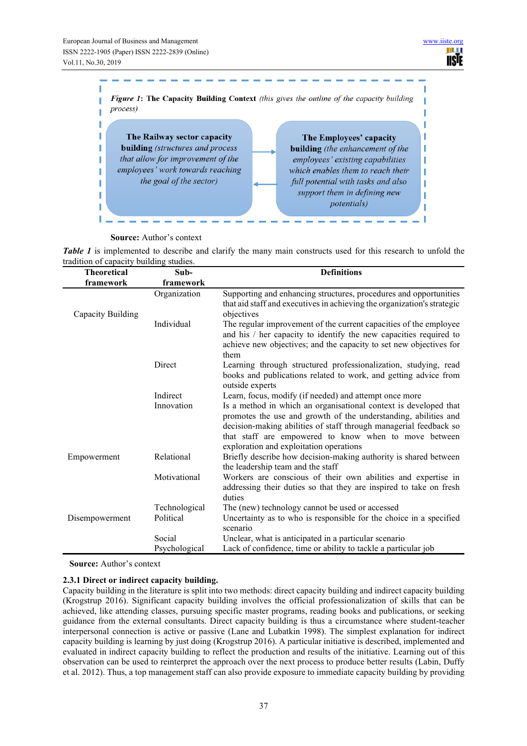

**Source:** Author's context

*Table 1* is implemented to describe and clarify the many main constructs used for this research to unfold the tradition of capacity building studies.

| <b>Theoretical</b> | Sub-          | <b>Definitions</b>                                                                                                                                                                                                                                                                                           |  |
|--------------------|---------------|--------------------------------------------------------------------------------------------------------------------------------------------------------------------------------------------------------------------------------------------------------------------------------------------------------------|--|
| framework          | framework     |                                                                                                                                                                                                                                                                                                              |  |
| Capacity Building  | Organization  | Supporting and enhancing structures, procedures and opportunities<br>that aid staff and executives in achieving the organization's strategic<br>objectives                                                                                                                                                   |  |
|                    | Individual    | The regular improvement of the current capacities of the employee<br>and his / her capacity to identify the new capacities required to<br>achieve new objectives; and the capacity to set new objectives for<br>them                                                                                         |  |
|                    | Direct        | Learning through structured professionalization, studying, read<br>books and publications related to work, and getting advice from<br>outside experts                                                                                                                                                        |  |
|                    | Indirect      | Learn, focus, modify (if needed) and attempt once more                                                                                                                                                                                                                                                       |  |
|                    | Innovation    | Is a method in which an organisational context is developed that<br>promotes the use and growth of the understanding, abilities and<br>decision-making abilities of staff through managerial feedback so<br>that staff are empowered to know when to move between<br>exploration and exploitation operations |  |
| Empowerment        | Relational    | Briefly describe how decision-making authority is shared between<br>the leadership team and the staff                                                                                                                                                                                                        |  |
|                    | Motivational  | Workers are conscious of their own abilities and expertise in<br>addressing their duties so that they are inspired to take on fresh<br>duties                                                                                                                                                                |  |
|                    | Technological | The (new) technology cannot be used or accessed                                                                                                                                                                                                                                                              |  |
| Disempowerment     | Political     | Uncertainty as to who is responsible for the choice in a specified<br>scenario                                                                                                                                                                                                                               |  |
|                    | Social        | Unclear, what is anticipated in a particular scenario                                                                                                                                                                                                                                                        |  |
|                    | Psychological | Lack of confidence, time or ability to tackle a particular job                                                                                                                                                                                                                                               |  |

**Source:** Author's context

# **2.3.1 Direct or indirect capacity building.**

Capacity building in the literature is split into two methods: direct capacity building and indirect capacity building (Krogstrup 2016). Significant capacity building involves the official professionalization of skills that can be achieved, like attending classes, pursuing specific master programs, reading books and publications, or seeking guidance from the external consultants. Direct capacity building is thus a circumstance where student-teacher interpersonal connection is active or passive (Lane and Lubatkin 1998). The simplest explanation for indirect capacity building is learning by just doing (Krogstrup 2016). A particular initiative is described, implemented and evaluated in indirect capacity building to reflect the production and results of the initiative. Learning out of this observation can be used to reinterpret the approach over the next process to produce better results (Labin, Duffy et al. 2012). Thus, a top management staff can also provide exposure to immediate capacity building by providing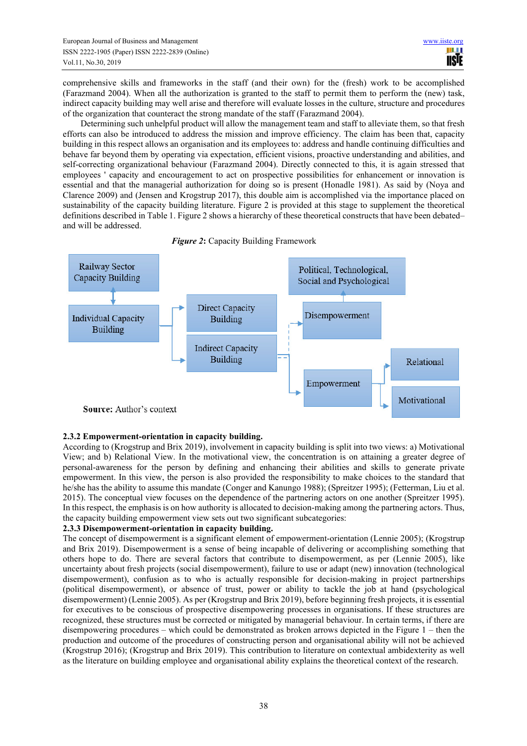comprehensive skills and frameworks in the staff (and their own) for the (fresh) work to be accomplished (Farazmand 2004). When all the authorization is granted to the staff to permit them to perform the (new) task, indirect capacity building may well arise and therefore will evaluate losses in the culture, structure and procedures of the organization that counteract the strong mandate of the staff (Farazmand 2004).

Determining such unhelpful product will allow the management team and staff to alleviate them, so that fresh efforts can also be introduced to address the mission and improve efficiency. The claim has been that, capacity building in this respect allows an organisation and its employees to: address and handle continuing difficulties and behave far beyond them by operating via expectation, efficient visions, proactive understanding and abilities, and self-correcting organizational behaviour (Farazmand 2004). Directly connected to this, it is again stressed that employees ' capacity and encouragement to act on prospective possibilities for enhancement or innovation is essential and that the managerial authorization for doing so is present (Honadle 1981). As said by (Noya and Clarence 2009) and (Jensen and Krogstrup 2017), this double aim is accomplished via the importance placed on sustainability of the capacity building literature. Figure 2 is provided at this stage to supplement the theoretical definitions described in Table 1. Figure 2 shows a hierarchy of these theoretical constructs that have been debated– and will be addressed.





# **2.3.2 Empowerment-orientation in capacity building.**

According to (Krogstrup and Brix 2019), involvement in capacity building is split into two views: a) Motivational View; and b) Relational View. In the motivational view, the concentration is on attaining a greater degree of personal-awareness for the person by defining and enhancing their abilities and skills to generate private empowerment. In this view, the person is also provided the responsibility to make choices to the standard that he/she has the ability to assume this mandate (Conger and Kanungo 1988); (Spreitzer 1995); (Fetterman, Liu et al. 2015). The conceptual view focuses on the dependence of the partnering actors on one another (Spreitzer 1995). In this respect, the emphasis is on how authority is allocated to decision-making among the partnering actors. Thus, the capacity building empowerment view sets out two significant subcategories:

## **2.3.3 Disempowerment-orientation in capacity building.**

The concept of disempowerment is a significant element of empowerment-orientation (Lennie 2005); (Krogstrup and Brix 2019). Disempowerment is a sense of being incapable of delivering or accomplishing something that others hope to do. There are several factors that contribute to disempowerment, as per (Lennie 2005), like uncertainty about fresh projects (social disempowerment), failure to use or adapt (new) innovation (technological disempowerment), confusion as to who is actually responsible for decision-making in project partnerships (political disempowerment), or absence of trust, power or ability to tackle the job at hand (psychological disempowerment) (Lennie 2005). As per (Krogstrup and Brix 2019), before beginning fresh projects, it is essential for executives to be conscious of prospective disempowering processes in organisations. If these structures are recognized, these structures must be corrected or mitigated by managerial behaviour. In certain terms, if there are disempowering procedures – which could be demonstrated as broken arrows depicted in the Figure 1 – then the production and outcome of the procedures of constructing person and organisational ability will not be achieved (Krogstrup 2016); (Krogstrup and Brix 2019). This contribution to literature on contextual ambidexterity as well as the literature on building employee and organisational ability explains the theoretical context of the research.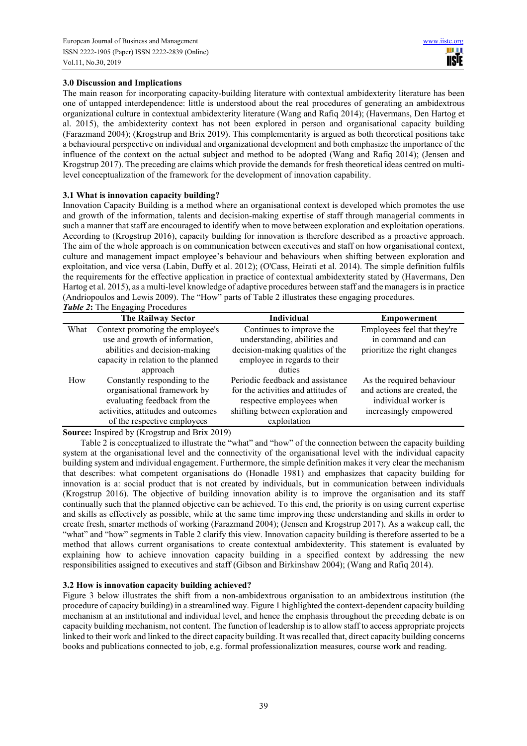# **3.0 Discussion and Implications**

The main reason for incorporating capacity-building literature with contextual ambidexterity literature has been one of untapped interdependence: little is understood about the real procedures of generating an ambidextrous organizational culture in contextual ambidexterity literature (Wang and Rafiq 2014); (Havermans, Den Hartog et al. 2015), the ambidexterity context has not been explored in person and organisational capacity building (Farazmand 2004); (Krogstrup and Brix 2019). This complementarity is argued as both theoretical positions take a behavioural perspective on individual and organizational development and both emphasize the importance of the influence of the context on the actual subject and method to be adopted (Wang and Rafiq 2014); (Jensen and Krogstrup 2017). The preceding are claims which provide the demands for fresh theoretical ideas centred on multilevel conceptualization of the framework for the development of innovation capability.

# **3.1 What is innovation capacity building?**

Innovation Capacity Building is a method where an organisational context is developed which promotes the use and growth of the information, talents and decision-making expertise of staff through managerial comments in such a manner that staff are encouraged to identify when to move between exploration and exploitation operations. According to (Krogstrup 2016), capacity building for innovation is therefore described as a proactive approach. The aim of the whole approach is on communication between executives and staff on how organisational context, culture and management impact employee's behaviour and behaviours when shifting between exploration and exploitation, and vice versa (Labin, Duffy et al. 2012); (O'Cass, Heirati et al. 2014). The simple definition fulfils the requirements for the effective application in practice of contextual ambidexterity stated by (Havermans, Den Hartog et al. 2015), as a multi-level knowledge of adaptive procedures between staff and the managers is in practice (Andriopoulos and Lewis 2009). The "How" parts of Table 2 illustrates these engaging procedures. *Table 2***:** The Engaging Procedures

**The Railway Sector Individual Empowerment**  What Context promoting the employee's

| What                                | Context promoting the employee's   | Continues to improve the            | Employees feel that they're  |
|-------------------------------------|------------------------------------|-------------------------------------|------------------------------|
|                                     | use and growth of information,     | understanding, abilities and        | in command and can           |
|                                     | abilities and decision-making      | decision-making qualities of the    | prioritize the right changes |
| capacity in relation to the planned |                                    | employee in regards to their        |                              |
|                                     | approach                           | duties                              |                              |
| How                                 | Constantly responding to the       | Periodic feedback and assistance    | As the required behaviour    |
|                                     | organisational framework by        | for the activities and attitudes of | and actions are created, the |
|                                     | evaluating feedback from the       | respective employees when           | individual worker is         |
|                                     | activities, attitudes and outcomes | shifting between exploration and    | increasingly empowered       |
|                                     | of the respective employees        | exploitation                        |                              |

**Source:** Inspired by (Krogstrup and Brix 2019)

Table 2 is conceptualized to illustrate the "what" and "how" of the connection between the capacity building system at the organisational level and the connectivity of the organisational level with the individual capacity building system and individual engagement. Furthermore, the simple definition makes it very clear the mechanism that describes: what competent organisations do (Honadle 1981) and emphasizes that capacity building for innovation is a: social product that is not created by individuals, but in communication between individuals (Krogstrup 2016). The objective of building innovation ability is to improve the organisation and its staff continually such that the planned objective can be achieved. To this end, the priority is on using current expertise and skills as effectively as possible, while at the same time improving these understanding and skills in order to create fresh, smarter methods of working (Farazmand 2004); (Jensen and Krogstrup 2017). As a wakeup call, the "what" and "how" segments in Table 2 clarify this view. Innovation capacity building is therefore asserted to be a method that allows current organisations to create contextual ambidexterity. This statement is evaluated by explaining how to achieve innovation capacity building in a specified context by addressing the new responsibilities assigned to executives and staff (Gibson and Birkinshaw 2004); (Wang and Rafiq 2014).

# **3.2 How is innovation capacity building achieved?**

Figure 3 below illustrates the shift from a non-ambidextrous organisation to an ambidextrous institution (the procedure of capacity building) in a streamlined way. Figure 1 highlighted the context-dependent capacity building mechanism at an institutional and individual level, and hence the emphasis throughout the preceding debate is on capacity building mechanism, not content. The function of leadership is to allow staff to access appropriate projects linked to their work and linked to the direct capacity building. It was recalled that, direct capacity building concerns books and publications connected to job, e.g. formal professionalization measures, course work and reading.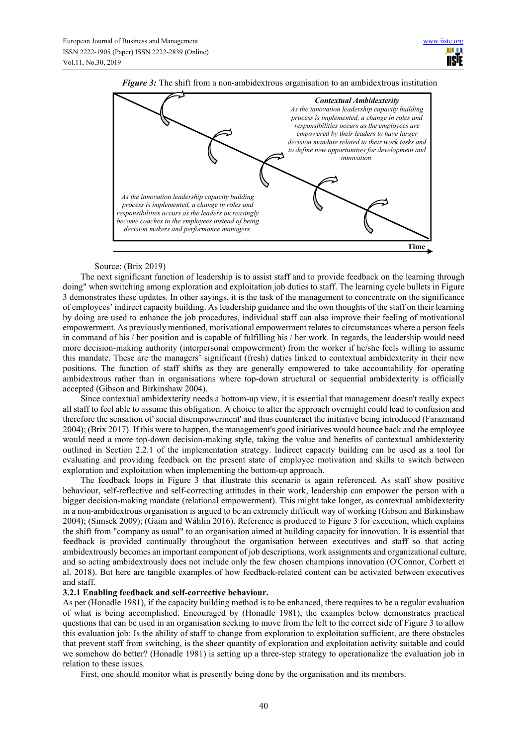

*Figure 3*: The shift from a non-ambidextrous organisation to an ambidextrous institution

# Source: (Brix 2019)

The next significant function of leadership is to assist staff and to provide feedback on the learning through doing" when switching among exploration and exploitation job duties to staff. The learning cycle bullets in Figure 3 demonstrates these updates. In other sayings, it is the task of the management to concentrate on the significance of employees' indirect capacity building. As leadership guidance and the own thoughts of the staff on their learning by doing are used to enhance the job procedures, individual staff can also improve their feeling of motivational empowerment. As previously mentioned, motivational empowerment relates to circumstances where a person feels in command of his / her position and is capable of fulfilling his / her work. In regards, the leadership would need more decision-making authority (interpersonal empowerment) from the worker if he/she feels willing to assume this mandate. These are the managers' significant (fresh) duties linked to contextual ambidexterity in their new positions. The function of staff shifts as they are generally empowered to take accountability for operating ambidextrous rather than in organisations where top-down structural or sequential ambidexterity is officially accepted (Gibson and Birkinshaw 2004).

Since contextual ambidexterity needs a bottom-up view, it is essential that management doesn't really expect all staff to feel able to assume this obligation. A choice to alter the approach overnight could lead to confusion and therefore the sensation of' social disempowerment' and thus counteract the initiative being introduced (Farazmand 2004); (Brix 2017). If this were to happen, the management's good initiatives would bounce back and the employee would need a more top-down decision-making style, taking the value and benefits of contextual ambidexterity outlined in Section 2.2.1 of the implementation strategy. Indirect capacity building can be used as a tool for evaluating and providing feedback on the present state of employee motivation and skills to switch between exploration and exploitation when implementing the bottom-up approach.

The feedback loops in Figure 3 that illustrate this scenario is again referenced. As staff show positive behaviour, self-reflective and self-correcting attitudes in their work, leadership can empower the person with a bigger decision-making mandate (relational empowerment). This might take longer, as contextual ambidexterity in a non-ambidextrous organisation is argued to be an extremely difficult way of working (Gibson and Birkinshaw 2004); (Simsek 2009); (Gaim and Wåhlin 2016). Reference is produced to Figure 3 for execution, which explains the shift from "company as usual" to an organisation aimed at building capacity for innovation. It is essential that feedback is provided continually throughout the organisation between executives and staff so that acting ambidextrously becomes an important component of job descriptions, work assignments and organizational culture, and so acting ambidextrously does not include only the few chosen champions innovation (O'Connor, Corbett et al. 2018). But here are tangible examples of how feedback-related content can be activated between executives and staff.

## **3.2.1 Enabling feedback and self-corrective behaviour.**

As per (Honadle 1981), if the capacity building method is to be enhanced, there requires to be a regular evaluation of what is being accomplished. Encouraged by (Honadle 1981), the examples below demonstrates practical questions that can be used in an organisation seeking to move from the left to the correct side of Figure 3 to allow this evaluation job: Is the ability of staff to change from exploration to exploitation sufficient, are there obstacles that prevent staff from switching, is the sheer quantity of exploration and exploitation activity suitable and could we somehow do better? (Honadle 1981) is setting up a three-step strategy to operationalize the evaluation job in relation to these issues.

First, one should monitor what is presently being done by the organisation and its members.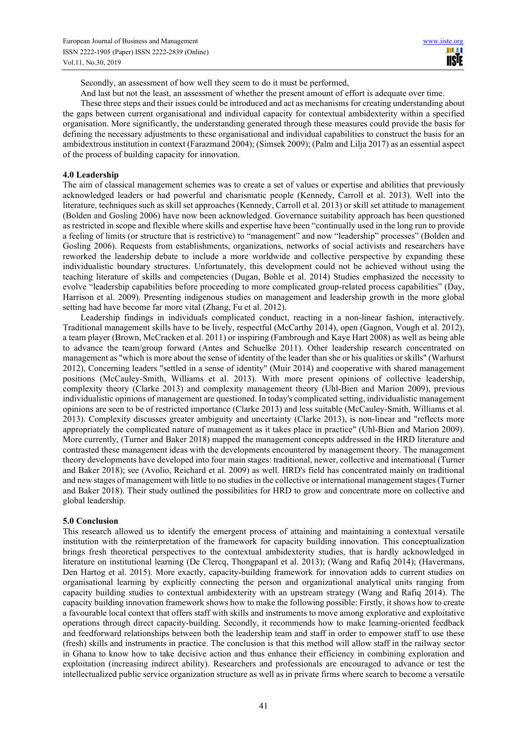Secondly, an assessment of how well they seem to do it must be performed,

And last but not the least, an assessment of whether the present amount of effort is adequate over time.

These three steps and their issues could be introduced and act as mechanisms for creating understanding about the gaps between current organisational and individual capacity for contextual ambidexterity within a specified organisation. More significantly, the understanding generated through these measures could provide the basis for defining the necessary adjustments to these organisational and individual capabilities to construct the basis for an ambidextrous institution in context (Farazmand 2004); (Simsek 2009); (Palm and Lilja 2017) as an essential aspect of the process of building capacity for innovation.

#### **4.0 Leadership**

The aim of classical management schemes was to create a set of values or expertise and abilities that previously acknowledged leaders or had powerful and charismatic people (Kennedy, Carroll et al. 2013). Well into the literature, techniques such as skill set approaches (Kennedy, Carroll et al. 2013) or skill set attitude to management (Bolden and Gosling 2006) have now been acknowledged. Governance suitability approach has been questioned as restricted in scope and flexible where skills and expertise have been "continually used in the long run to provide a feeling of limits (or structure that is restrictive) to "management" and now "leadership" processes" (Bolden and Gosling 2006). Requests from establishments, organizations, networks of social activists and researchers have reworked the leadership debate to include a more worldwide and collective perspective by expanding these individualistic boundary structures. Unfortunately, this development could not be achieved without using the teaching literature of skills and competencies (Dugan, Bohle et al. 2014) Studies emphasized the necessity to evolve "leadership capabilities before proceeding to more complicated group-related process capabilities" (Day, Harrison et al. 2009). Presenting indigenous studies on management and leadership growth in the more global setting had have become far more vital (Zhang, Fu et al. 2012).

Leadership findings in individuals complicated conduct, reacting in a non-linear fashion, interactively. Traditional management skills have to be lively, respectful (McCarthy 2014), open (Gagnon, Vough et al. 2012), a team player (Brown, McCracken et al. 2011) or inspiring (Fambrough and Kaye Hart 2008) as well as being able to advance the team/group forward (Antes and Schuelke 2011). Other leadership research concentrated on management as "which is more about the sense of identity of the leader than she or his qualities or skills" (Warhurst 2012), Concerning leaders "settled in a sense of identity" (Muir 2014) and cooperative with shared management positions (McCauley-Smith, Williams et al. 2013). With more present opinions of collective leadership, complexity theory (Clarke 2013) and complexity management theory (Uhl-Bien and Marion 2009), previous individualistic opinions of management are questioned. In today's complicated setting, individualistic management opinions are seen to be of restricted importance (Clarke 2013) and less suitable (McCauley-Smith, Williams et al. 2013). Complexity discusses greater ambiguity and uncertainty (Clarke 2013), is non-linear and "reflects more appropriately the complicated nature of management as it takes place in practice" (Uhl-Bien and Marion 2009). More currently, (Turner and Baker 2018) mapped the management concepts addressed in the HRD literature and contrasted these management ideas with the developments encountered by management theory. The management theory developments have developed into four main stages: traditional, newer, collective and international (Turner and Baker 2018); see (Avolio, Reichard et al. 2009) as well. HRD's field has concentrated mainly on traditional and new stages of management with little to no studies in the collective or international management stages (Turner and Baker 2018). Their study outlined the possibilities for HRD to grow and concentrate more on collective and global leadership.

#### **5.0 Conclusion**

This research allowed us to identify the emergent process of attaining and maintaining a contextual versatile institution with the reinterpretation of the framework for capacity building innovation. This conceptualization brings fresh theoretical perspectives to the contextual ambidexterity studies, that is hardly acknowledged in literature on institutional learning (De Clercq, Thongpapanl et al. 2013); (Wang and Rafiq 2014); (Havermans, Den Hartog et al. 2015). More exactly, capacity-building framework for innovation adds to current studies on organisational learning by explicitly connecting the person and organizational analytical units ranging from capacity building studies to contextual ambidexterity with an upstream strategy (Wang and Rafiq 2014). The capacity building innovation framework shows how to make the following possible: Firstly, it shows how to create a favourable local context that offers staff with skills and instruments to move among explorative and exploitative operations through direct capacity-building. Secondly, it recommends how to make learning-oriented feedback and feedforward relationships between both the leadership team and staff in order to empower staff to use these (fresh) skills and instruments in practice. The conclusion is that this method will allow staff in the railway sector in Ghana to know how to take decisive action and thus enhance their efficiency in combining exploration and exploitation (increasing indirect ability). Researchers and professionals are encouraged to advance or test the intellectualized public service organization structure as well as in private firms where search to become a versatile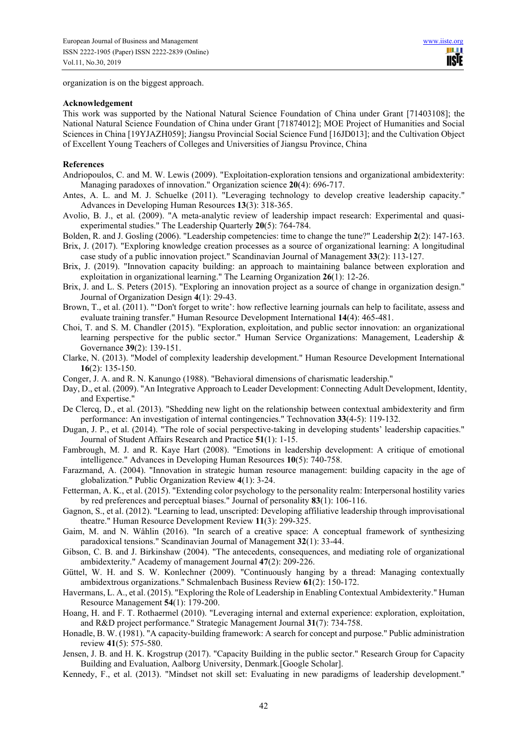organization is on the biggest approach.

#### **Acknowledgement**

This work was supported by the National Natural Science Foundation of China under Grant [71403108]; the National Natural Science Foundation of China under Grant [71874012]; MOE Project of Humanities and Social Sciences in China [19YJAZH059]; Jiangsu Provincial Social Science Fund [16JD013]; and the Cultivation Object of Excellent Young Teachers of Colleges and Universities of Jiangsu Province, China

#### **References**

- Andriopoulos, C. and M. W. Lewis (2009). "Exploitation-exploration tensions and organizational ambidexterity: Managing paradoxes of innovation." Organization science **20**(4): 696-717.
- Antes, A. L. and M. J. Schuelke (2011). "Leveraging technology to develop creative leadership capacity." Advances in Developing Human Resources **13**(3): 318-365.
- Avolio, B. J., et al. (2009). "A meta-analytic review of leadership impact research: Experimental and quasiexperimental studies." The Leadership Quarterly **20**(5): 764-784.
- Bolden, R. and J. Gosling (2006). "Leadership competencies: time to change the tune?" Leadership **2**(2): 147-163.
- Brix, J. (2017). "Exploring knowledge creation processes as a source of organizational learning: A longitudinal case study of a public innovation project." Scandinavian Journal of Management **33**(2): 113-127.
- Brix, J. (2019). "Innovation capacity building: an approach to maintaining balance between exploration and exploitation in organizational learning." The Learning Organization **26**(1): 12-26.
- Brix, J. and L. S. Peters (2015). "Exploring an innovation project as a source of change in organization design." Journal of Organization Design **4**(1): 29-43.
- Brown, T., et al. (2011). "'Don't forget to write': how reflective learning journals can help to facilitate, assess and evaluate training transfer." Human Resource Development International **14**(4): 465-481.
- Choi, T. and S. M. Chandler (2015). "Exploration, exploitation, and public sector innovation: an organizational learning perspective for the public sector." Human Service Organizations: Management, Leadership & Governance **39**(2): 139-151.
- Clarke, N. (2013). "Model of complexity leadership development." Human Resource Development International **16**(2): 135-150.
- Conger, J. A. and R. N. Kanungo (1988). "Behavioral dimensions of charismatic leadership."
- Day, D., et al. (2009). "An Integrative Approach to Leader Development: Connecting Adult Development, Identity, and Expertise."
- De Clercq, D., et al. (2013). "Shedding new light on the relationship between contextual ambidexterity and firm performance: An investigation of internal contingencies." Technovation **33**(4-5): 119-132.
- Dugan, J. P., et al. (2014). "The role of social perspective-taking in developing students' leadership capacities." Journal of Student Affairs Research and Practice **51**(1): 1-15.
- Fambrough, M. J. and R. Kaye Hart (2008). "Emotions in leadership development: A critique of emotional intelligence." Advances in Developing Human Resources **10**(5): 740-758.
- Farazmand, A. (2004). "Innovation in strategic human resource management: building capacity in the age of globalization." Public Organization Review **4**(1): 3-24.
- Fetterman, A. K., et al. (2015). "Extending color psychology to the personality realm: Interpersonal hostility varies by red preferences and perceptual biases." Journal of personality **83**(1): 106-116.
- Gagnon, S., et al. (2012). "Learning to lead, unscripted: Developing affiliative leadership through improvisational theatre." Human Resource Development Review **11**(3): 299-325.
- Gaim, M. and N. Wåhlin (2016). "In search of a creative space: A conceptual framework of synthesizing paradoxical tensions." Scandinavian Journal of Management **32**(1): 33-44.
- Gibson, C. B. and J. Birkinshaw (2004). "The antecedents, consequences, and mediating role of organizational ambidexterity." Academy of management Journal **47**(2): 209-226.
- Güttel, W. H. and S. W. Konlechner (2009). "Continuously hanging by a thread: Managing contextually ambidextrous organizations." Schmalenbach Business Review **61**(2): 150-172.
- Havermans, L. A., et al. (2015). "Exploring the Role of Leadership in Enabling Contextual Ambidexterity." Human Resource Management **54**(1): 179-200.
- Hoang, H. and F. T. Rothaermel (2010). "Leveraging internal and external experience: exploration, exploitation, and R&D project performance." Strategic Management Journal **31**(7): 734-758.
- Honadle, B. W. (1981). "A capacity-building framework: A search for concept and purpose." Public administration review **41**(5): 575-580.
- Jensen, J. B. and H. K. Krogstrup (2017). "Capacity Building in the public sector." Research Group for Capacity Building and Evaluation, Aalborg University, Denmark.[Google Scholar].
- Kennedy, F., et al. (2013). "Mindset not skill set: Evaluating in new paradigms of leadership development."